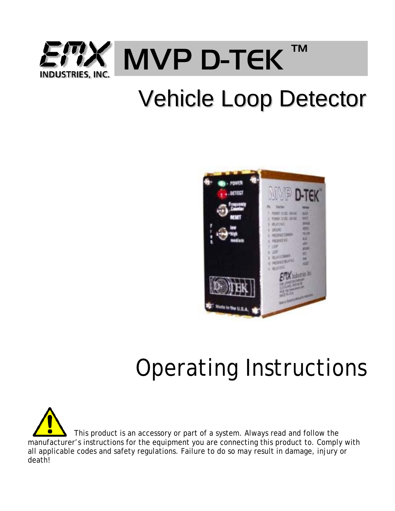

# Vehicle Loop Detector



# Operating Instructions

 This product is an accessory or part of a system. Always read and follow the manufacturer's instructions for the equipment you are connecting this product to. Comply with all applicable codes and safety regulations. Failure to do so may result in damage, injury or death!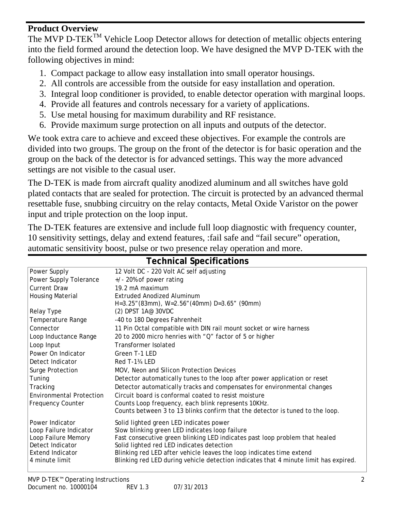#### **Product Overview**

The MVP D-TEK<sup>TM</sup> Vehicle Loop Detector allows for detection of metallic objects entering into the field formed around the detection loop. We have designed the MVP D-TEK with the following objectives in mind:

- 1. Compact package to allow easy installation into small operator housings.
- 2. All controls are accessible from the outside for easy installation and operation.
- 3. Integral loop conditioner is provided, to enable detector operation with marginal loops.
- 4. Provide all features and controls necessary for a variety of applications.
- 5. Use metal housing for maximum durability and RF resistance.
- 6. Provide maximum surge protection on all inputs and outputs of the detector.

We took extra care to achieve and exceed these objectives. For example the controls are divided into two groups. The group on the front of the detector is for basic operation and the group on the back of the detector is for advanced settings. This way the more advanced settings are not visible to the casual user.

The D-TEK is made from aircraft quality anodized aluminum and all switches have gold plated contacts that are sealed for protection. The circuit is protected by an advanced thermal resettable fuse, snubbing circuitry on the relay contacts, Metal Oxide Varistor on the power input and triple protection on the loop input.

The D-TEK features are extensive and include full loop diagnostic with frequency counter, 10 sensitivity settings, delay and extend features, :fail safe and "fail secure" operation, automatic sensitivity boost, pulse or two presence relay operation and more.

| <b>Technical Specifications</b> |                                                                                      |  |  |
|---------------------------------|--------------------------------------------------------------------------------------|--|--|
| Power Supply                    | 12 Volt DC - 220 Volt AC self adjusting                                              |  |  |
| Power Supply Tolerance          | $+/-$ 20% of power rating                                                            |  |  |
| <b>Current Draw</b>             | 19.2 mA maximum                                                                      |  |  |
| <b>Housing Material</b>         | Extruded Anodized Aluminum                                                           |  |  |
|                                 | H=3.25" (83mm), W=2.56" (40mm) D=3.65" (90mm)                                        |  |  |
| Relay Type                      | $(2)$ DPST 1A $@$ 30VDC                                                              |  |  |
| Temperature Range               | -40 to 180 Degrees Fahrenheit                                                        |  |  |
| Connector                       | 11 Pin Octal compatible with DIN rail mount socket or wire harness                   |  |  |
| Loop Inductance Range           | 20 to 2000 micro henries with "Q" factor of 5 or higher                              |  |  |
| Loop Input                      | Transformer Isolated                                                                 |  |  |
| Power On Indicator              | Green T-1 LED                                                                        |  |  |
| Detect Indicator                | Red T-1 <sup>3</sup> / <sub>4</sub> LED                                              |  |  |
| Surge Protection                | MOV, Neon and Silicon Protection Devices                                             |  |  |
| Tuning                          | Detector automatically tunes to the loop after power application or reset            |  |  |
| Tracking                        | Detector automatically tracks and compensates for environmental changes              |  |  |
| <b>Environmental Protection</b> | Circuit board is conformal coated to resist moisture                                 |  |  |
| <b>Frequency Counter</b>        | Counts Loop frequency, each blink represents 10KHz.                                  |  |  |
|                                 | Counts between 3 to 13 blinks confirm that the detector is tuned to the loop.        |  |  |
| Power Indicator                 | Solid lighted green LED indicates power                                              |  |  |
| Loop Failure Indicator          | Slow blinking green LED indicates loop failure                                       |  |  |
| Loop Failure Memory             | Fast consecutive green blinking LED indicates past loop problem that healed          |  |  |
| Detect Indicator                | Solid lighted red LED indicates detection                                            |  |  |
| <b>Extend Indicator</b>         | Blinking red LED after vehicle leaves the loop indicates time extend                 |  |  |
| 4 minute limit                  | Blinking red LED during vehicle detection indicates that 4 minute limit has expired. |  |  |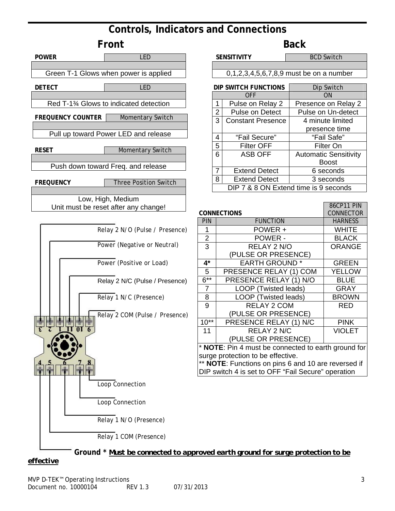## **Controls, Indicators and Connections**





86CP11 PIN CONNECTOR

ORANGE

RED

VIOLET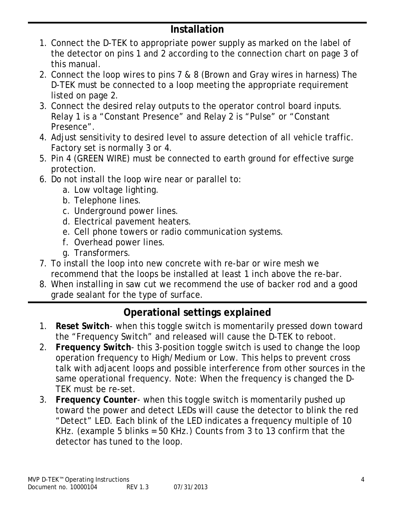## **Installation**

- 1. Connect the D-TEK to appropriate power supply as marked on the label of the detector on pins 1 and 2 according to the connection chart on page 3 of this manual.
- 2. Connect the loop wires to pins 7 & 8 (Brown and Gray wires in harness) The D-TEK must be connected to a loop meeting the appropriate requirement listed on page 2.
- 3. Connect the desired relay outputs to the operator control board inputs. Relay 1 is a "Constant Presence" and Relay 2 is "Pulse" or "Constant Presence".
- 4. Adjust sensitivity to desired level to assure detection of all vehicle traffic. Factory set is normally 3 or 4.
- 5. Pin 4 (GREEN WIRE) must be connected to earth ground for effective surge protection.
- 6. Do not install the loop wire near or parallel to:
	- a. Low voltage lighting.
	- b. Telephone lines.
	- c. Underground power lines.
	- d. Electrical pavement heaters.
	- e. Cell phone towers or radio communication systems.
	- f. Overhead power lines.
	- g. Transformers.
- 7. To install the loop into new concrete with re-bar or wire mesh we recommend that the loops be installed at least 1 inch above the re-bar.
- 8. When installing in saw cut we recommend the use of backer rod and a good grade sealant for the type of surface.

## **Operational settings explained**

- 1. **Reset Switch** when this toggle switch is momentarily pressed down toward the "Frequency Switch" and released will cause the D-TEK to reboot.
- 2. **Frequency Switch** this 3-position toggle switch is used to change the loop operation frequency to High/Medium or Low. This helps to prevent cross talk with adjacent loops and possible interference from other sources in the same operational frequency. Note: When the frequency is changed the D-TEK must be re-set.
- 3. **Frequency Counter** when this toggle switch is momentarily pushed up toward the power and detect LEDs will cause the detector to blink the red "Detect" LED. Each blink of the LED indicates a frequency multiple of 10 KHz. (example 5 blinks = 50 KHz.) Counts from 3 to 13 confirm that the detector has tuned to the loop.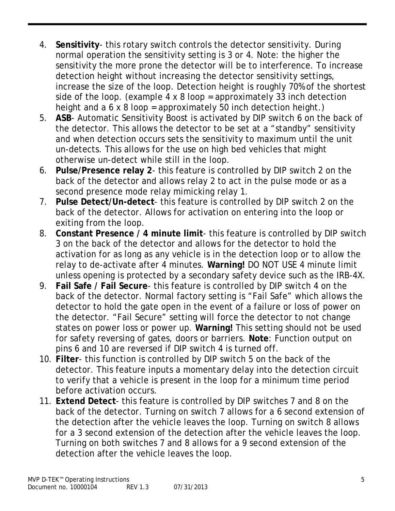- 4. **Sensitivity** this rotary switch controls the detector sensitivity. During normal operation the sensitivity setting is 3 or 4. Note: the higher the sensitivity the more prone the detector will be to interference. To increase detection height without increasing the detector sensitivity settings, increase the size of the loop. Detection height is roughly 70% of the shortest side of the loop. (example 4 x 8 loop = approximately 33 inch detection height and a 6 x 8 loop = approximately 50 inch detection height.)
- 5. **ASB** Automatic Sensitivity Boost is activated by DIP switch 6 on the back of the detector. This allows the detector to be set at a "standby" sensitivity and when detection occurs sets the sensitivity to maximum until the unit un-detects. This allows for the use on high bed vehicles that might otherwise un-detect while still in the loop.
- 6. **Pulse/Presence relay 2** this feature is controlled by DIP switch 2 on the back of the detector and allows relay 2 to act in the pulse mode or as a second presence mode relay mimicking relay 1.
- 7. **Pulse Detect/Un-detect** this feature is controlled by DIP switch 2 on the back of the detector. Allows for activation on entering into the loop or exiting from the loop.
- 8. **Constant Presence / 4 minute limit** this feature is controlled by DIP switch 3 on the back of the detector and allows for the detector to hold the activation for as long as any vehicle is in the detection loop or to allow the relay to de-activate after 4 minutes. **Warning!** DO NOT USE 4 minute limit unless opening is protected by a secondary safety device such as the IRB-4X.
- 9. **Fail Safe / Fail Secure** this feature is controlled by DIP switch 4 on the back of the detector. Normal factory setting is "Fail Safe" which allows the detector to hold the gate open in the event of a failure or loss of power on the detector. "Fail Secure" setting will force the detector to not change states on power loss or power up. **Warning!** This setting should not be used for safety reversing of gates, doors or barriers. **Note**: Function output on pins 6 and 10 are reversed if DIP switch 4 is turned off.
- 10. **Filter** this function is controlled by DIP switch 5 on the back of the detector. This feature inputs a momentary delay into the detection circuit to verify that a vehicle is present in the loop for a minimum time period before activation occurs.
- 11. **Extend Detect** this feature is controlled by DIP switches 7 and 8 on the back of the detector. Turning on switch 7 allows for a 6 second extension of the detection after the vehicle leaves the loop. Turning on switch 8 allows for a 3 second extension of the detection after the vehicle leaves the loop. Turning on both switches 7 and 8 allows for a 9 second extension of the detection after the vehicle leaves the loop.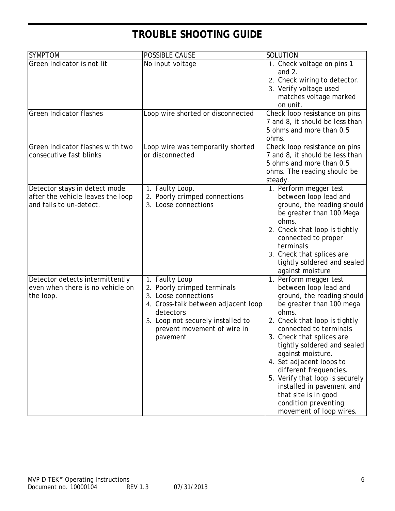# **TROUBLE SHOOTING GUIDE**

| <b>SYMPTOM</b>                                                                                | POSSIBLE CAUSE                                                                                                                                                                                            | SOLUTION                                                                                                                                                                                                                                                                                                                                                                                                                                                     |
|-----------------------------------------------------------------------------------------------|-----------------------------------------------------------------------------------------------------------------------------------------------------------------------------------------------------------|--------------------------------------------------------------------------------------------------------------------------------------------------------------------------------------------------------------------------------------------------------------------------------------------------------------------------------------------------------------------------------------------------------------------------------------------------------------|
| Green Indicator is not lit                                                                    | No input voltage                                                                                                                                                                                          | 1. Check voltage on pins 1<br>and $2$ .<br>2. Check wiring to detector.<br>3. Verify voltage used<br>matches voltage marked<br>on unit.                                                                                                                                                                                                                                                                                                                      |
| <b>Green Indicator flashes</b>                                                                | Loop wire shorted or disconnected                                                                                                                                                                         | Check loop resistance on pins<br>7 and 8, it should be less than<br>5 ohms and more than 0.5<br>ohms.                                                                                                                                                                                                                                                                                                                                                        |
| Green Indicator flashes with two<br>consecutive fast blinks                                   | Loop wire was temporarily shorted<br>or disconnected                                                                                                                                                      | Check loop resistance on pins<br>7 and 8, it should be less than<br>5 ohms and more than 0.5<br>ohms. The reading should be<br>steady.                                                                                                                                                                                                                                                                                                                       |
| Detector stays in detect mode<br>after the vehicle leaves the loop<br>and fails to un-detect. | 1. Faulty Loop.<br>2. Poorly crimped connections<br>3. Loose connections                                                                                                                                  | 1. Perform megger test<br>between loop lead and<br>ground, the reading should<br>be greater than 100 Mega<br>ohms.<br>2. Check that loop is tightly<br>connected to proper<br>terminals<br>3. Check that splices are<br>tightly soldered and sealed<br>against moisture                                                                                                                                                                                      |
| Detector detects intermittently<br>even when there is no vehicle on<br>the loop.              | 1. Faulty Loop<br>2. Poorly crimped terminals<br>3. Loose connections<br>4. Cross-talk between adjacent loop<br>detectors<br>5. Loop not securely installed to<br>prevent movement of wire in<br>pavement | 1. Perform megger test<br>between loop lead and<br>ground, the reading should<br>be greater than 100 mega<br>ohms.<br>2. Check that loop is tightly<br>connected to terminals<br>Check that splices are<br>tightly soldered and sealed<br>against moisture.<br>4. Set adjacent loops to<br>different frequencies.<br>5. Verify that loop is securely<br>installed in pavement and<br>that site is in good<br>condition preventing<br>movement of loop wires. |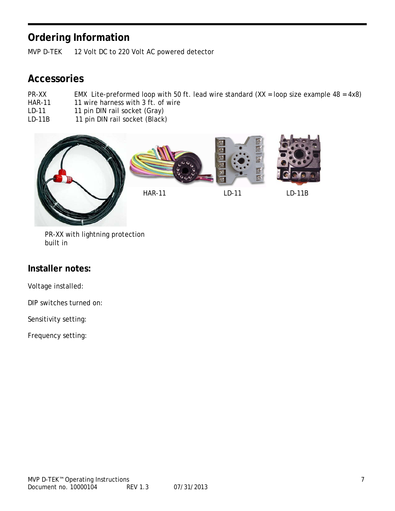## **Ordering Information**

MVP D-TEK 12 Volt DC to 220 Volt AC powered detector

### **Accessories**

- PR-XX EMX Lite-preformed loop with 50 ft. lead wire standard  $(XX = loop size example 48 = 4x8)$ <br>HAR-11 1 wire harness with 3 ft. of wire
- 11 wire harness with 3 ft. of wire
- LD-11 11 pin DIN rail socket (Gray)<br>LD-11B 11 pin DIN rail socket (Black)
- 11 pin DIN rail socket (Black)



 PR-XX with lightning protection built in

#### **Installer notes:**

Voltage installed:

DIP switches turned on:

Sensitivity setting:

Frequency setting: